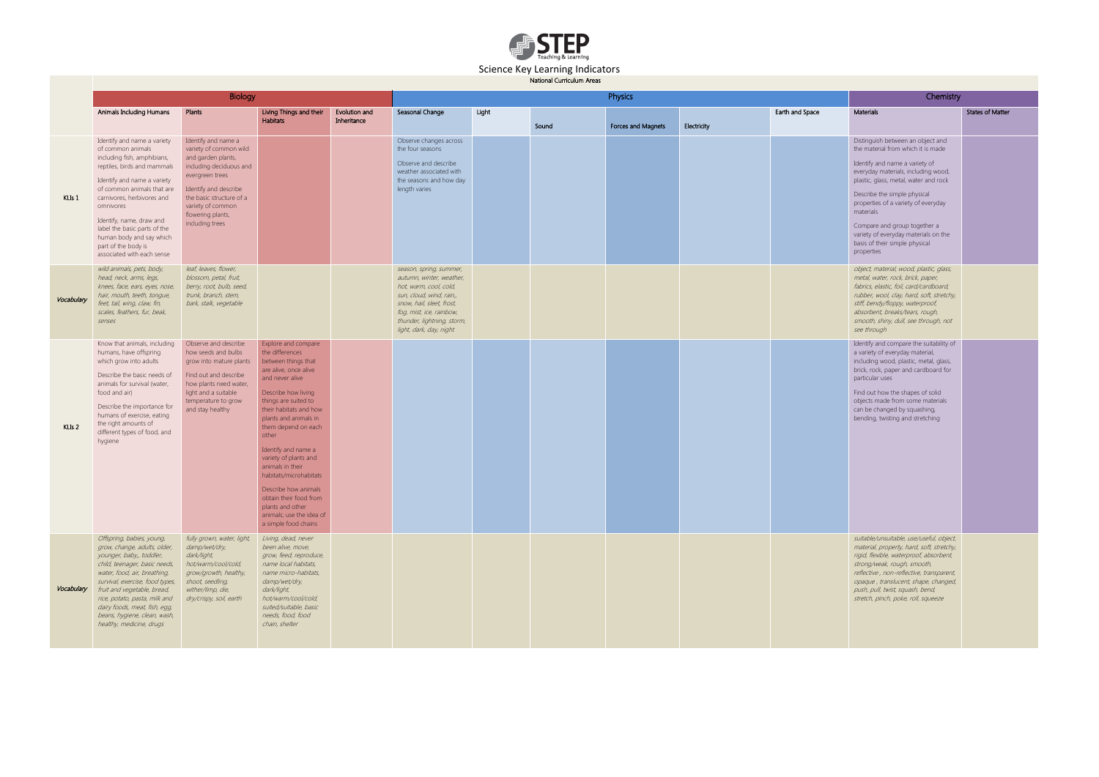

## Science Key Learning Indicators

National Curriculum Areas

|            |                                                                                                                                                                                                                                                                                                                                                                     |                                                                                                                                                                                                                                     | Chemistry                                                                                                                                                                                                                                                                                                                                                                                                                                                           |                              |                                                                                                                                                                                                                             |       |       |                    |             |                 |                                                                                                                                                                                                                                                                                                                                                                                                       |
|------------|---------------------------------------------------------------------------------------------------------------------------------------------------------------------------------------------------------------------------------------------------------------------------------------------------------------------------------------------------------------------|-------------------------------------------------------------------------------------------------------------------------------------------------------------------------------------------------------------------------------------|---------------------------------------------------------------------------------------------------------------------------------------------------------------------------------------------------------------------------------------------------------------------------------------------------------------------------------------------------------------------------------------------------------------------------------------------------------------------|------------------------------|-----------------------------------------------------------------------------------------------------------------------------------------------------------------------------------------------------------------------------|-------|-------|--------------------|-------------|-----------------|-------------------------------------------------------------------------------------------------------------------------------------------------------------------------------------------------------------------------------------------------------------------------------------------------------------------------------------------------------------------------------------------------------|
|            | <b>Animals Including Humans</b>                                                                                                                                                                                                                                                                                                                                     | Plants                                                                                                                                                                                                                              | Living Things and their<br><b>Habitats</b>                                                                                                                                                                                                                                                                                                                                                                                                                          | Evolution and<br>Inheritance | Seasonal Change                                                                                                                                                                                                             | Light | Sound | Forces and Magnets | Electricity | Earth and Space | Materials                                                                                                                                                                                                                                                                                                                                                                                             |
| $KLLs$ 1   | Identify and name a variety<br>of common animals<br>including fish, amphibians,<br>reptiles, birds and mammals<br>Identify and name a variety<br>of common animals that are<br>carnivores, herbivores and<br>omnivores<br>Identify, name, draw and<br>label the basic parts of the<br>human body and say which<br>part of the body is<br>associated with each sense | Identify and name a<br>variety of common wild<br>and garden plants,<br>including deciduous and<br>evergreen trees<br>Identify and describe<br>the basic structure of a<br>variety of common<br>flowering plants,<br>including trees |                                                                                                                                                                                                                                                                                                                                                                                                                                                                     |                              | Observe changes across<br>the four seasons<br>Observe and describe<br>weather associated with<br>the seasons and how day<br>length varies                                                                                   |       |       |                    |             |                 | Distinguish between an object and<br>the material from which it is made<br>Identify and name a variety of<br>everyday materials, including wood,<br>plastic, glass, metal, water and rock<br>Describe the simple physical<br>properties of a variety of everyday<br>materials<br>Compare and group together a<br>variety of everyday materials on the<br>basis of their simple physical<br>properties |
| Vocabulary | wild animals, pets, body,<br>head, neck, arms, legs,<br>knees, face, ears, eyes, nose,<br>hair, mouth, teeth, tonque,<br>feet, tail, wing, claw, fin,<br>scales, feathers, fur, beak,<br>senses                                                                                                                                                                     | leaf, leaves, flower,<br>blossom, petal, fruit,<br>berry, root, bulb, seed,<br>trunk, branch, stem,<br>bark, stalk, vegetable                                                                                                       |                                                                                                                                                                                                                                                                                                                                                                                                                                                                     |                              | season, spring, summer,<br>autumn, winter, weather,<br>hot, warm, cool, cold,<br>sun, cloud, wind, rain,,<br>snow, hail, sleet, frost,<br>fog, mist, ice, rainbow,<br>thunder, lightning, storm,<br>light, dark, day, night |       |       |                    |             |                 | object, material, wood, plastic, glass,<br>metal, water, rock, brick, paper,<br>fabrics, elastic, foil, card/cardboard,<br>rubber, wool, clay, hard, soft, stretchy,<br>stiff, bendy/floppy, waterproof,<br>absorbent, breaks/tears, rough,<br>smooth, shiny, dull, see through, not<br>see through                                                                                                   |
| $KLS$ 2    | Know that animals, including<br>humans, have offspring<br>which grow into adults<br>Describe the basic needs of<br>animals for survival (water,<br>food and air)<br>Describe the importance for<br>humans of exercise, eating<br>the right amounts of<br>different types of food, and<br>hygiene                                                                    | Observe and describe<br>how seeds and bulbs<br>grow into mature plants<br>Find out and describe<br>how plants need water,<br>light and a suitable<br>temperature to grow<br>and stay healthy                                        | Explore and compare<br>the differences<br>between things that<br>are alive, once alive<br>and never alive<br>Describe how living<br>things are suited to<br>their habitats and how<br>plants and animals in<br>them depend on each<br>other<br>Identify and name a<br>variety of plants and<br>animals in their<br>habitats/microhabitats<br>Describe how animals<br>obtain their food from<br>plants and other<br>animals: use the idea of<br>a simple food chains |                              |                                                                                                                                                                                                                             |       |       |                    |             |                 | Identify and compare the suitability of<br>a variety of everyday material,<br>including wood, plastic, metal, glass,<br>brick, rock, paper and cardboard for<br>particular uses<br>Find out how the shapes of solid<br>objects made from some materials<br>can be changed by squashing,<br>bending, twisting and stretching                                                                           |
| Vocabulary | Offspring, babies, young,<br>grow, change, adults, older,<br>younger, baby,, toddler,<br>child, teenager, basic needs,<br>water, food, air, breathing,<br>survival, exercise, food types,<br>fruit and vegetable, bread,<br>rice, potato, pasta, milk and<br>dairy foods, meat, fish, egg,<br>beans, hygiene, clean, wash,<br>healthy, medicine, drugs              | fully grown, water, light,<br>damp/wet/dry,<br>dark/light,<br>hot/warm/cool/cold,<br>grow/growth, healthy,<br>shoot, seedling,<br>wither/limp, die,<br>dry/crispy, soil, earth                                                      | Living, dead, never<br>been alive, move,<br>grow, feed, reproduce,<br>name local habitats,<br>name micro-habitats,<br>damp/wet/dry,<br>dark/light,<br>hot/warm/cool/cold,<br>suited/suitable, basic<br>needs, food, food<br>chain, shelter                                                                                                                                                                                                                          |                              |                                                                                                                                                                                                                             |       |       |                    |             |                 | suitable/unsuitable, use/useful, object,<br>material, property, hard, soft, stretchy,<br>rigid, flexible, waterproof, absorbent,<br>strong/weak, rough, smooth,<br>reflective, non-reflective, transparent,<br>opaque, translucent, shape, changed,<br>push, pull, twist, squash, bend,<br>stretch, pinch, poke, roll, squeeze                                                                        |

|                 | Chemistry                                                                                                                                                                                                                                                                                                                      |                         |  |  |  |  |  |  |  |
|-----------------|--------------------------------------------------------------------------------------------------------------------------------------------------------------------------------------------------------------------------------------------------------------------------------------------------------------------------------|-------------------------|--|--|--|--|--|--|--|
| Earth and Space | <b>Materials</b>                                                                                                                                                                                                                                                                                                               | <b>States of Matter</b> |  |  |  |  |  |  |  |
|                 | Distinguish between an object and<br>the material from which it is made                                                                                                                                                                                                                                                        |                         |  |  |  |  |  |  |  |
|                 | Identify and name a variety of<br>everyday materials, including wood,<br>plastic, glass, metal, water and rock                                                                                                                                                                                                                 |                         |  |  |  |  |  |  |  |
|                 | Describe the simple physical<br>properties of a variety of everyday<br>materials                                                                                                                                                                                                                                               |                         |  |  |  |  |  |  |  |
|                 | Compare and group together a<br>variety of everyday materials on the<br>basis of their simple physical<br>properties                                                                                                                                                                                                           |                         |  |  |  |  |  |  |  |
|                 | object, material, wood, plastic, glass,<br>metal, water, rock, brick, paper,<br>fabrics, elastic, foil, card/cardboard,<br>rubber, wool, clay, hard, soft, stretchy,<br>stiff, bendy/floppy, waterproof,<br>absorbent, breaks/tears, rough,<br>smooth, shiny, dull, see through, not<br>see through                            |                         |  |  |  |  |  |  |  |
|                 | Identify and compare the suitability of<br>a variety of everyday material,<br>including wood, plastic, metal, glass,<br>brick, rock, paper and cardboard for<br>particular uses<br>Find out how the shapes of solid<br>objects made from some materials<br>can be changed by squashing,<br>bending, twisting and stretching    |                         |  |  |  |  |  |  |  |
|                 | suitable/unsuitable, use/useful, object,<br>material, property, hard, soft, stretchy,<br>rigid, flexible, waterproof, absorbent,<br>strong/weak, rough, smooth,<br>reflective, non-reflective, transparent,<br>opaque, translucent, shape, changed,<br>push, pull, twist, squash, bend,<br>stretch, pinch, poke, roll, squeeze |                         |  |  |  |  |  |  |  |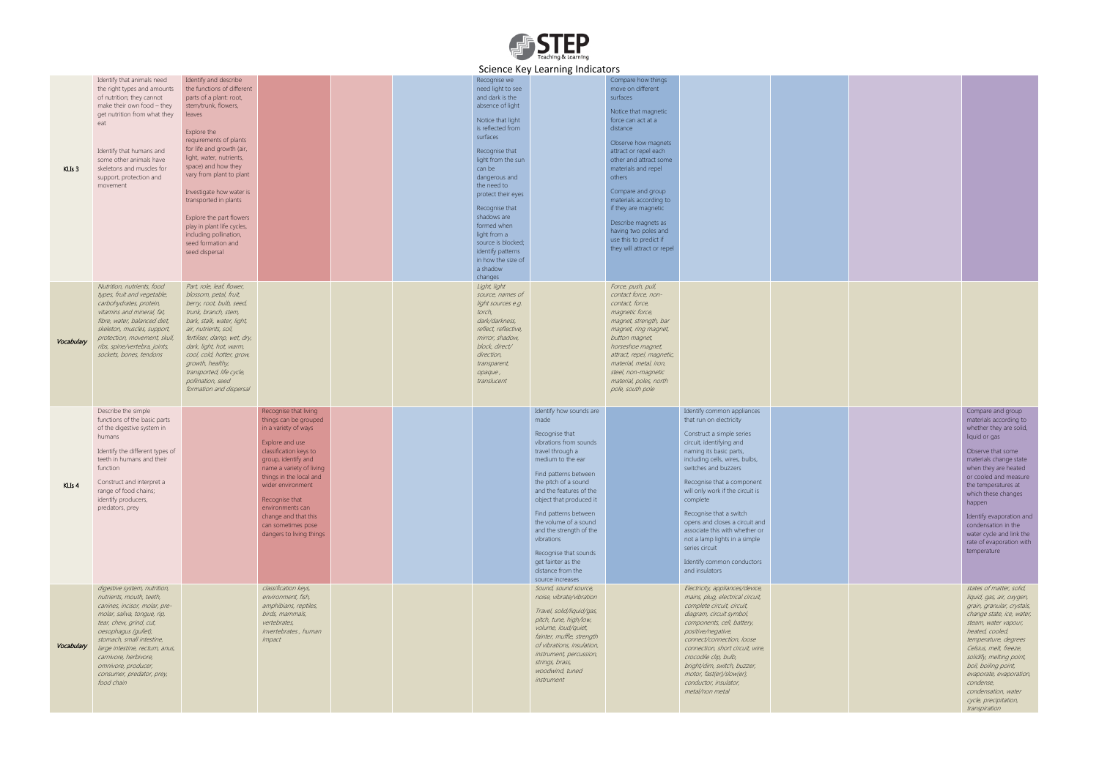

## Science Key Learning Indicators

|                   |                                                                                                                                                                                                                                                                                                                                       |                                                                                                                                                                                                                                                                                                                                                                                                                                                        |                                                                                                                                                                                                                                                                                                                                        |  |                                                                                                                                                                                                                                                                                                                                                                                                | Science Key Learning indicators                                                                                                                                                                                                                                                                                                                                                                                |                                                                                                                                                                                                                                                                                                                                                                                                        |                                                                                                                                                                                                                                                                                                                                                                                                                                                                                     |  |
|-------------------|---------------------------------------------------------------------------------------------------------------------------------------------------------------------------------------------------------------------------------------------------------------------------------------------------------------------------------------|--------------------------------------------------------------------------------------------------------------------------------------------------------------------------------------------------------------------------------------------------------------------------------------------------------------------------------------------------------------------------------------------------------------------------------------------------------|----------------------------------------------------------------------------------------------------------------------------------------------------------------------------------------------------------------------------------------------------------------------------------------------------------------------------------------|--|------------------------------------------------------------------------------------------------------------------------------------------------------------------------------------------------------------------------------------------------------------------------------------------------------------------------------------------------------------------------------------------------|----------------------------------------------------------------------------------------------------------------------------------------------------------------------------------------------------------------------------------------------------------------------------------------------------------------------------------------------------------------------------------------------------------------|--------------------------------------------------------------------------------------------------------------------------------------------------------------------------------------------------------------------------------------------------------------------------------------------------------------------------------------------------------------------------------------------------------|-------------------------------------------------------------------------------------------------------------------------------------------------------------------------------------------------------------------------------------------------------------------------------------------------------------------------------------------------------------------------------------------------------------------------------------------------------------------------------------|--|
| KLIs <sub>3</sub> | Identify that animals need<br>the right types and amounts<br>of nutrition; they cannot<br>make their own food - they<br>get nutrition from what they<br>eat<br>Identify that humans and<br>some other animals have<br>skeletons and muscles for<br>support, protection and<br>movement                                                | Identify and describe<br>the functions of different<br>parts of a plant: root,<br>stem/trunk, flowers,<br>leaves<br>Explore the<br>requirements of plants<br>for life and growth (air,<br>light, water, nutrients,<br>space) and how they<br>vary from plant to plant<br>Investigate how water is<br>transported in plants<br>Explore the part flowers<br>play in plant life cycles,<br>including pollination,<br>seed formation and<br>seed dispersal |                                                                                                                                                                                                                                                                                                                                        |  | Recognise we<br>need light to see<br>and dark is the<br>absence of light<br>Notice that light<br>is reflected from<br>surfaces<br>Recognise that<br>light from the sun<br>can be<br>dangerous and<br>the need to<br>protect their eyes<br>Recognise that<br>shadows are<br>formed when<br>light from a<br>source is blocked;<br>identify patterns<br>in how the size of<br>a shadow<br>changes |                                                                                                                                                                                                                                                                                                                                                                                                                | Compare how things<br>move on different<br>surfaces<br>Notice that magnetic<br>force can act at a<br>distance<br>Observe how magnets<br>attract or repel each<br>other and attract some<br>materials and repel<br>others<br>Compare and group<br>materials according to<br>if they are magnetic<br>Describe magnets as<br>having two poles and<br>use this to predict if<br>they will attract or repel |                                                                                                                                                                                                                                                                                                                                                                                                                                                                                     |  |
| Vocabulary        | Nutrition, nutrients, food<br>types, fruit and vegetable,<br>carbohydrates, protein,<br>vitamins and mineral, fat,<br>fibre, water, balanced diet,<br>skeleton, muscles, support,<br>protection, movement, skull,<br>ribs, spine/vertebra, joints,<br>sockets, bones, tendons                                                         | Part, role, leaf, flower,<br>blossom, petal, fruit,<br>berry, root, bulb, seed,<br>trunk, branch, stem,<br>bark, stalk, water, light,<br>air, nutrients, soil,<br>fertiliser, damp, wet, dry,<br>dark, light, hot, warm,<br>cool, cold, hotter, grow,<br>growth, healthy,<br>transported, life cycle,<br>pollination, seed<br>formation and dispersal                                                                                                  |                                                                                                                                                                                                                                                                                                                                        |  | Light, light<br>source, names of<br>light sources e.g.<br>torch,<br>dark/darkness,<br>reflect, reflective,<br>mirror, shadow,<br>block, direct/<br>direction,<br>transparent,<br>opaque,<br>translucent                                                                                                                                                                                        |                                                                                                                                                                                                                                                                                                                                                                                                                | Force, push, pull,<br>contact force, non-<br>contact, force,<br>magnetic force,<br>magnet, strength, bar<br>magnet, ring magnet,<br>button magnet,<br>horseshoe magnet,<br>attract, repel, magnetic,<br>material, metal, iron,<br>steel, non-magnetic<br>material, poles, north<br>pole, south pole                                                                                                    |                                                                                                                                                                                                                                                                                                                                                                                                                                                                                     |  |
| KLIs <sub>4</sub> | Describe the simple<br>functions of the basic parts<br>of the digestive system in<br>humans<br>Identify the different types of<br>teeth in humans and their<br>function<br>Construct and interpret a<br>range of food chains;<br>identify producers,<br>predators, prey                                                               |                                                                                                                                                                                                                                                                                                                                                                                                                                                        | Recognise that living<br>things can be grouped<br>in a variety of ways<br>Explore and use<br>classification keys to<br>group, identify and<br>name a variety of living<br>things in the local and<br>wider environment<br>Recognise that<br>environments can<br>change and that this<br>can sometimes pose<br>dangers to living things |  |                                                                                                                                                                                                                                                                                                                                                                                                | Identify how sounds are<br>made<br>Recognise that<br>vibrations from sounds<br>travel through a<br>medium to the ear<br>Find patterns between<br>the pitch of a sound<br>and the features of the<br>object that produced it<br>Find patterns between<br>the volume of a sound<br>and the strength of the<br>vibrations<br>Recognise that sounds<br>get fainter as the<br>distance from the<br>source increases |                                                                                                                                                                                                                                                                                                                                                                                                        | Identify common appliances<br>that run on electricity<br>Construct a simple series<br>circuit, identifying and<br>naming its basic parts,<br>including cells, wires, bulbs,<br>switches and buzzers<br>Recognise that a component<br>will only work if the circuit is<br>complete<br>Recognise that a switch<br>opens and closes a circuit and<br>associate this with whether or<br>not a lamp lights in a simple<br>series circuit<br>Identify common conductors<br>and insulators |  |
| Vocabulary        | digestive system, nutrition,<br>nutrients, mouth, teeth,<br>canines, incisor, molar, pre-<br>molar, saliva, tongue, rip,<br>tear, chew, grind, cut,<br>oesophagus (gullet),<br>stomach, small intestine,<br>large intestine, rectum, anus,<br>carnivore, herbivore,<br>omnivore, producer,<br>consumer, predator, prey,<br>food chain |                                                                                                                                                                                                                                                                                                                                                                                                                                                        | classification keys,<br>environment, fish,<br>amphibians, reptiles,<br>birds, mammals,<br>vertebrates,<br><i>invertebrates</i> , human<br>impact                                                                                                                                                                                       |  |                                                                                                                                                                                                                                                                                                                                                                                                | Sound, sound source,<br>noise, vibrate/vibration<br>Travel, solid/liquid/gas,<br>pitch, tune, high/low,<br>volume, loud/quiet,<br>fainter, muffle, strength<br>of vibrations, insulation,<br>instrument, percussion,<br>strings, brass,<br>woodwind, tuned<br>instrument                                                                                                                                       |                                                                                                                                                                                                                                                                                                                                                                                                        | Electricity, appliances/device,<br>mains, plug, electrical circuit,<br>complete circuit, circuit,<br>diagram, circuit symbol,<br>components, cell, battery,<br>positive/negative,<br>connect/connection, loose<br>connection, short circuit, wire,<br>crocodile clip, bulb,<br>bright/dim, switch, buzzer,<br>motor, fast(er)/slow(er),<br>conductor, insulator,<br>metal/non metal                                                                                                 |  |

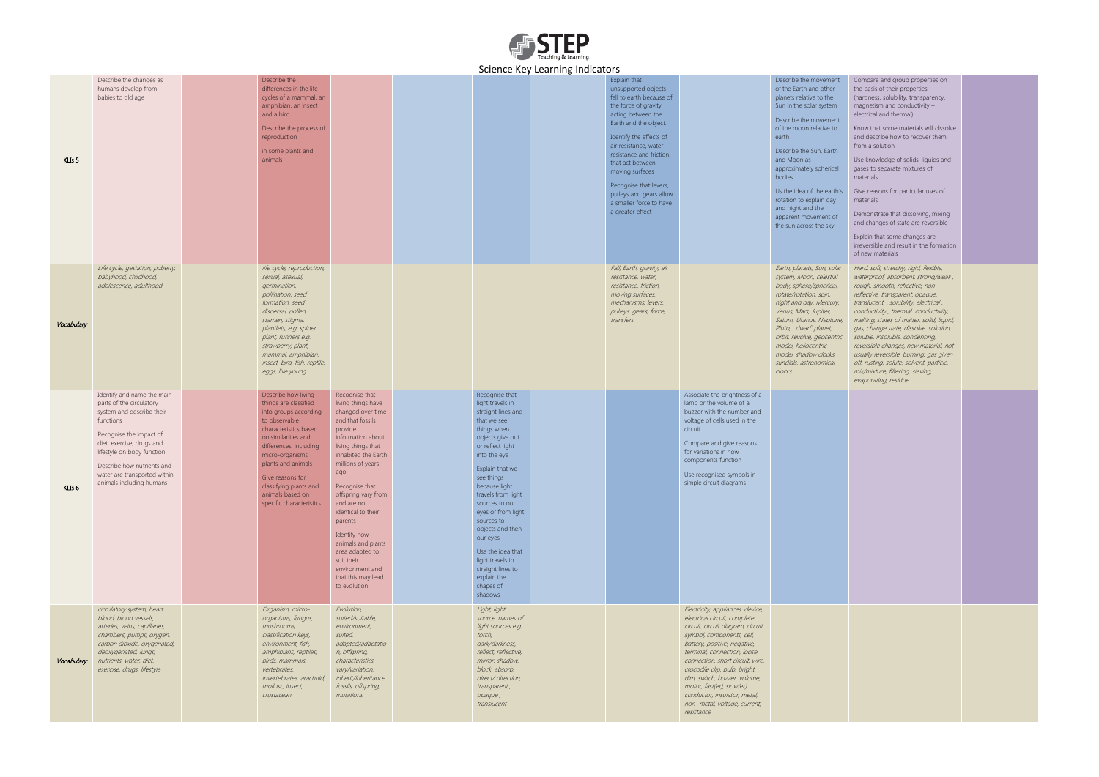

## Science Key Learning Indicators

| $KLLs$ 5   | Describe the changes as<br>humans develop from<br>babies to old age                                                                                                                                                                                                              | Describe the<br>differences in the life<br>cycles of a mammal, an<br>amphibian, an insect<br>and a bird<br>Describe the process of<br>reproduction<br>in some plants and<br>animals                                                                                                                      |                                                                                                                                                                                                                                                                                                                                                                                                                 |                                                                                                                                                                                                                                                                                                                                                                                                                   | $3$ chemed they determing indicators | Explain that<br>unsupported objects<br>fall to earth because of<br>the force of gravity<br>acting between the<br>Earth and the object.<br>Identify the effects of<br>air resistance, water<br>resistance and friction,<br>that act between<br>moving surfaces<br>Recognise that levers,<br>pulleys and gears allow<br>a smaller force to have<br>a greater effect |                                                                                                                                                                                                                                                                                                                                                                                                                     | Describe the movement<br>of the Earth and other<br>planets relative to the<br>Sun in the solar system<br>Describe the movement<br>of the moon relative to<br>earth<br>Describe the Sun, Earth<br>and Moon as<br>approximately spherical<br>bodies<br>Us the idea of the earth's<br>rotation to explain day<br>and night and the<br>apparent movement of<br>the sun across the sky | Compare and group properties on<br>the basis of their properties<br>(hardness, solubility, transparency,<br>magnetism and conductivity $-$<br>electrical and thermal)<br>Know that some materials will dissolve<br>and describe how to recover them<br>from a solution<br>Use knowledge of solids, liquids and<br>gases to separate mixtures of<br>materials<br>Give reasons for particular uses of<br>materials<br>Demonstrate that dissolving, mixing<br>and changes of state are reversible |  |
|------------|----------------------------------------------------------------------------------------------------------------------------------------------------------------------------------------------------------------------------------------------------------------------------------|----------------------------------------------------------------------------------------------------------------------------------------------------------------------------------------------------------------------------------------------------------------------------------------------------------|-----------------------------------------------------------------------------------------------------------------------------------------------------------------------------------------------------------------------------------------------------------------------------------------------------------------------------------------------------------------------------------------------------------------|-------------------------------------------------------------------------------------------------------------------------------------------------------------------------------------------------------------------------------------------------------------------------------------------------------------------------------------------------------------------------------------------------------------------|--------------------------------------|-------------------------------------------------------------------------------------------------------------------------------------------------------------------------------------------------------------------------------------------------------------------------------------------------------------------------------------------------------------------|---------------------------------------------------------------------------------------------------------------------------------------------------------------------------------------------------------------------------------------------------------------------------------------------------------------------------------------------------------------------------------------------------------------------|-----------------------------------------------------------------------------------------------------------------------------------------------------------------------------------------------------------------------------------------------------------------------------------------------------------------------------------------------------------------------------------|------------------------------------------------------------------------------------------------------------------------------------------------------------------------------------------------------------------------------------------------------------------------------------------------------------------------------------------------------------------------------------------------------------------------------------------------------------------------------------------------|--|
|            | Life cycle, gestation, puberty,<br>babyhood, childhood,<br>adolescence, adulthood                                                                                                                                                                                                | life cycle, reproduction,<br>sexual, asexual,<br>germination,                                                                                                                                                                                                                                            |                                                                                                                                                                                                                                                                                                                                                                                                                 |                                                                                                                                                                                                                                                                                                                                                                                                                   |                                      | Fall, Earth, gravity, air<br>resistance, water,<br>resistance, friction,                                                                                                                                                                                                                                                                                          |                                                                                                                                                                                                                                                                                                                                                                                                                     | Earth, planets, Sun, solar<br>system, Moon, celestial<br>body, sphere/spherical,                                                                                                                                                                                                                                                                                                  | Explain that some changes are<br>irreversible and result in the formation<br>of new materials<br>Hard, soft, stretchy, rigid, flexible,<br>waterproof, absorbent, strong/weak,<br>rough, smooth, reflective, non-                                                                                                                                                                                                                                                                              |  |
| Vocabulary |                                                                                                                                                                                                                                                                                  | pollination, seed<br>formation, seed<br>dispersal, pollen,<br>stamen, stigma,<br>plantlets, e.g. spider<br>plant, runners e.g.<br>strawberry, plant,<br>mammal, amphibian,<br>insect, bird, fish, reptile,<br>eggs, live young                                                                           |                                                                                                                                                                                                                                                                                                                                                                                                                 |                                                                                                                                                                                                                                                                                                                                                                                                                   |                                      | moving surfaces,<br>mechanisms, levers,<br>pulleys, gears, force,<br>transfers                                                                                                                                                                                                                                                                                    |                                                                                                                                                                                                                                                                                                                                                                                                                     | rotate/rotation, spin,<br>night and day, Mercury,<br>Venus, Mars, Jupiter,<br>Saturn, Uranus, Neptune,<br>Pluto, 'dwarf' planet,<br>orbit, revolve, geocentric<br>model, heliocentric<br>model, shadow clocks,<br>sundials, astronomical<br>clocks                                                                                                                                | reflective, transparent, opaque,<br>translucent, , solubility, electrical,<br>conductivity, thermal conductivity,<br>melting, states of matter, solid, liquid,<br>gas, change state, dissolve, solution,<br>soluble, insoluble, condensing,<br>reversible changes, new material, not<br>usually reversible, burning, gas given<br>off, rusting, solute, solvent, particle,<br>mix/mixture, filtering, sieving,<br>evaporating, residue                                                         |  |
| KLIs 6     | Identify and name the main<br>parts of the circulatory<br>system and describe their<br>functions<br>Recognise the impact of<br>diet, exercise, drugs and<br>lifestyle on body function<br>Describe how nutrients and<br>water are transported within<br>animals including humans | Describe how living<br>things are classified<br>into groups according<br>to observable<br>characteristics based<br>on similarities and<br>differences, including<br>micro-organisms,<br>plants and animals<br>Give reasons for<br>classifying plants and<br>animals based on<br>specific characteristics | Recognise that<br>living things have<br>changed over time<br>and that fossils<br>provide<br>information about<br>living things that<br>inhabited the Earth<br>millions of years<br>ago<br>Recognise that<br>offspring vary from<br>and are not<br>identical to their<br>parents<br>Identify how<br>animals and plants<br>area adapted to<br>suit their<br>environment and<br>that this may lead<br>to evolution | Recognise that<br>light travels in<br>straight lines and<br>that we see<br>things when<br>objects give out<br>or reflect light<br>into the eye<br>Explain that we<br>see things<br>because light<br>travels from light<br>sources to our<br>eyes or from light<br>sources to<br>objects and then<br>our eyes<br>Use the idea that<br>light travels in<br>straight lines to<br>explain the<br>shapes of<br>shadows |                                      |                                                                                                                                                                                                                                                                                                                                                                   | Associate the brightness of a<br>lamp or the volume of a<br>buzzer with the number and<br>voltage of cells used in the<br>circuit<br>Compare and give reasons<br>for variations in how<br>components function<br>Use recognised symbols in<br>simple circuit diagrams                                                                                                                                               |                                                                                                                                                                                                                                                                                                                                                                                   |                                                                                                                                                                                                                                                                                                                                                                                                                                                                                                |  |
| Vocabulary | circulatory system, heart,<br>blood, blood vessels,<br>arteries, veins, capillaries,<br>chambers, pumps, oxygen,<br>carbon dioxide, oxygenated,<br>deoxygenated, lungs,<br>nutrients, water, diet,<br>exercise, drugs, lifestyle                                                 | Organism, micro-<br>organisms, fungus,<br>mushrooms,<br>classification keys,<br>environment, fish,<br>amphibians, reptiles,<br>birds, mammals,<br>vertebrates,<br>invertebrates, arachnid,<br>mollusc, insect,<br>crustacean                                                                             | Evolution,<br>suited/suitable,<br>environment,<br>suited,<br>adapted/adaptatio<br>n, offspring,<br>characteristics,<br>vary/variation,<br>inherit/inheritance,<br>fossils, offspring,<br>mutations                                                                                                                                                                                                              | Light, light<br>source, names of<br>light sources e.g.<br>torch,<br>dark/darkness,<br>reflect, reflective,<br>mirror, shadow,<br>block, absorb,<br>direct/ direction,<br>transparent,<br>opaque,<br>translucent                                                                                                                                                                                                   |                                      |                                                                                                                                                                                                                                                                                                                                                                   | Electricity, appliances, device,<br>electrical circuit, complete<br>circuit, circuit diagram, circuit<br>symbol, components, cell,<br>battery, positive, negative,<br>terminal, connection, loose<br>connection, short circuit, wire,<br>crocodile clip, bulb, bright,<br>dim, switch, buzzer, volume,<br>motor, fast(er), slow(er),<br>conductor, insulator, metal,<br>non- metal, voltage, current,<br>resistance |                                                                                                                                                                                                                                                                                                                                                                                   |                                                                                                                                                                                                                                                                                                                                                                                                                                                                                                |  |